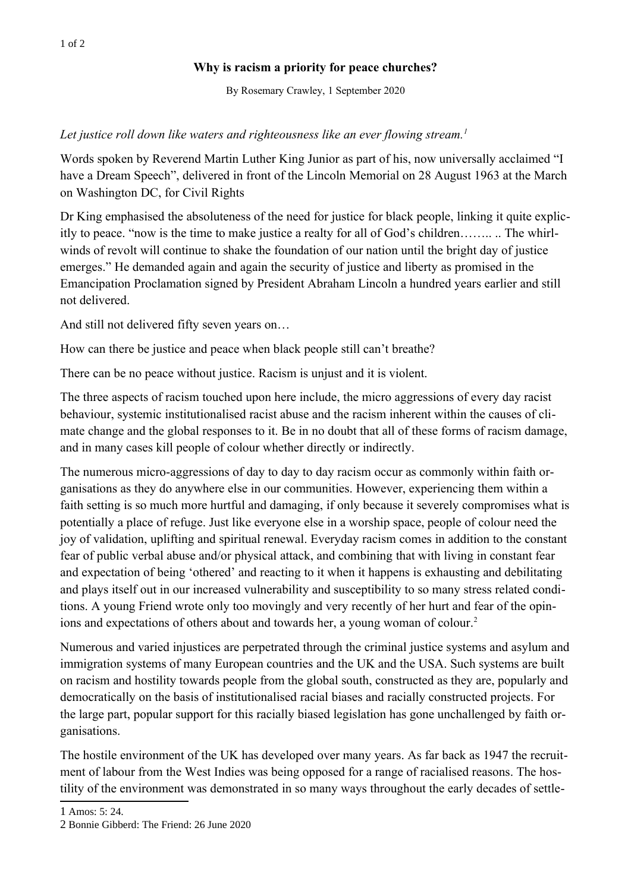## **Why is racism a priority for peace churches?**

By Rosemary Crawley, 1 September 2020

## *Let justice roll down like waters and righteousness like an ever flowing stream.<sup>1</sup>*

Words spoken by Reverend Martin Luther King Junior as part of his, now universally acclaimed "I have a Dream Speech", delivered in front of the Lincoln Memorial on 28 August 1963 at the March on Washington DC, for Civil Rights

Dr King emphasised the absoluteness of the need f[o](#page-0-0)r justice for black people, linking it quite explicitly to peace. "now is the time to make justice a realty for all of God's children…….. .. The whirlwinds of revolt will continue to shake the foundation of our nation until the bright day of justice emerges." He demanded again and again the security of justice and liberty as promised in the Emancipation Proclamation signed by President Abraham Lincoln a hundred years earlier and still not delivered.

And still not delivered fifty seven years on…

How can there be justice and peace when black people still can't breathe?

There can be no peace without justice. Racism is unjust and it is violent.

The three aspects of racism touched upon here include, the micro aggressions of every day racist behaviour, systemic institutionalised racist abuse and the racism inherent within the causes of climate change and the global responses to it. Be in no doubt that all of these forms of racism damage, and in many cases kill people of colour whether directly or indirectly.

The numerous micro-aggressions of day to day to day racism occur as commonly within faith organisations as they do anywhere else in our communities. However, experiencing them within a faith setting is so much more hurtful and damaging, if only because it severely compromises what is potentially a place of refuge. Just like everyone else in a worship space, people of colour need the joy of validation, uplifting and spiritual renewal. Everyday racism comes in addition to the constant fear of public verbal abuse and/or physical attack, and combining that with living in constant fear and expectation of being 'othered' and reacting to it [w](#page-0-1)hen it happens is exhausting and debilitating and plays itself out in our increased vulnerability and susceptibility to so many stress related conditions. A young Friend wrote only too movingly and very recently of her hurt and fear of the opinions and expectations of others about and towards her, a young woman of colour.<sup>2</sup>

Numerous and varied injustices are perpetrated through the criminal justice systems and asylum and immigration systems of many European countries and the UK and the USA. Such systems are built on racism and hostility towards people from the global south, constructed as they are, popularly and democratically on the basis of institutionalised racial biases and racially constructed projects. For the large part, popular support for this racially biased legislation has gone unchallenged by faith organisations.

The hostile environment of the UK has developed over many years. As far back as 1947 the recruitment of labour from the West Indies was being opposed for a range of racialised reasons. The hostility of the environment was demonstrated in so many ways throughout the early decades of settle-

<span id="page-0-0"></span><sup>1</sup> Amos: 5: 24.

<span id="page-0-1"></span><sup>2</sup> Bonnie Gibberd: The Friend: 26 June 2020